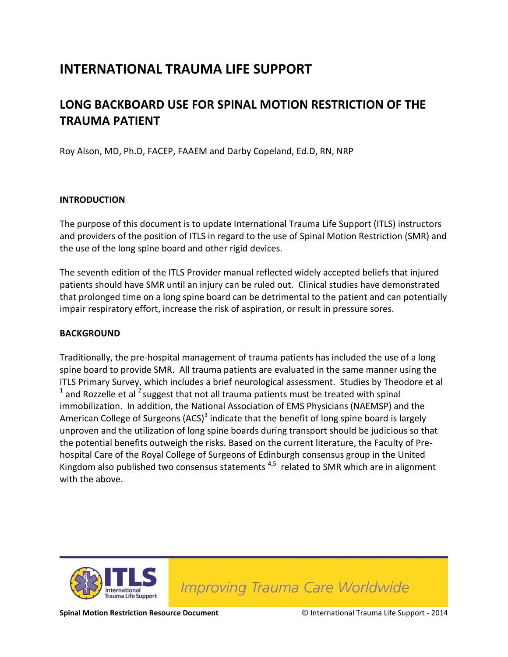## **INTERNATIONAL TRAUMA LIFE SUPPORT**

### **LONG BACKBOARD USE FOR SPINAL MOTION RESTRICTION OF THE TRAUMA PATIENT**

Roy Alson, MD, Ph.D, FACEP, FAAEM and Darby Copeland, Ed.D, RN, NRP

#### **INTRODUCTION**

The purpose of this document is to update International Trauma Life Support (ITLS) instructors and providers of the position of ITLS in regard to the use of Spinal Motion Restriction (SMR) and the use of the long spine board and other rigid devices.

The seventh edition of the ITLS Provider manual reflected widely accepted beliefs that injured patients should have SMR until an injury can be ruled out. Clinical studies have demonstrated that prolonged time on a long spine board can be detrimental to the patient and can potentially impair respiratory effort, increase the risk of aspiration, or result in pressure sores.

#### **BACKGROUND**

Traditionally, the pre-hospital management of trauma patients has included the use of a long spine board to provide SMR. All trauma patients are evaluated in the same manner using the ITLS Primary Survey, which includes a brief neurological assessment. Studies by Theodore et al  $1$  and Rozzelle et al  $2$  suggest that not all trauma patients must be treated with spinal immobilization. In addition, the National Association of EMS Physicians (NAEMSP) and the American College of Surgeons (ACS)<sup>3</sup> indicate that the benefit of long spine board is largely unproven and the utilization of long spine boards during transport should be judicious so that the potential benefits outweigh the risks. Based on the current literature, the Faculty of Prehospital Care of the Royal College of Surgeons of Edinburgh consensus group in the United Kingdom also published two consensus statements  $4.5$  related to SMR which are in alignment with the above.



**Improving Trauma Care Worldwide**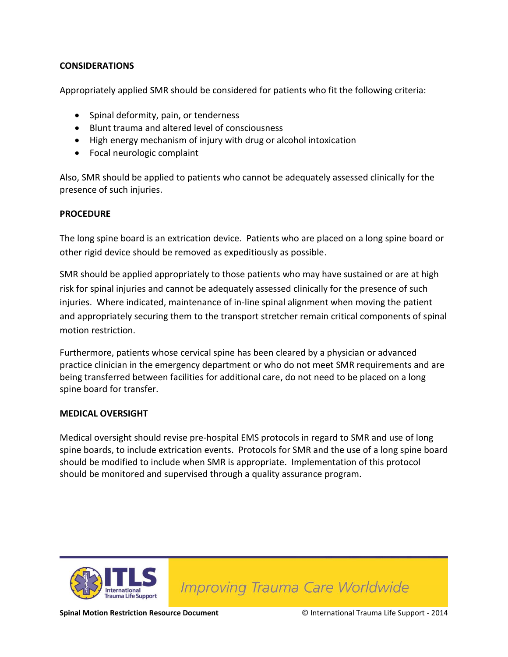#### **CONSIDERATIONS**

Appropriately applied SMR should be considered for patients who fit the following criteria:

- Spinal deformity, pain, or tenderness
- Blunt trauma and altered level of consciousness
- High energy mechanism of injury with drug or alcohol intoxication
- Focal neurologic complaint

Also, SMR should be applied to patients who cannot be adequately assessed clinically for the presence of such injuries.

#### **PROCEDURE**

The long spine board is an extrication device. Patients who are placed on a long spine board or other rigid device should be removed as expeditiously as possible.

SMR should be applied appropriately to those patients who may have sustained or are at high risk for spinal injuries and cannot be adequately assessed clinically for the presence of such injuries. Where indicated, maintenance of in-line spinal alignment when moving the patient and appropriately securing them to the transport stretcher remain critical components of spinal motion restriction.

Furthermore, patients whose cervical spine has been cleared by a physician or advanced practice clinician in the emergency department or who do not meet SMR requirements and are being transferred between facilities for additional care, do not need to be placed on a long spine board for transfer.

#### **MEDICAL OVERSIGHT**

Medical oversight should revise pre-hospital EMS protocols in regard to SMR and use of long spine boards, to include extrication events. Protocols for SMR and the use of a long spine board should be modified to include when SMR is appropriate. Implementation of this protocol should be monitored and supervised through a quality assurance program.



Improving Trauma Care Worldwide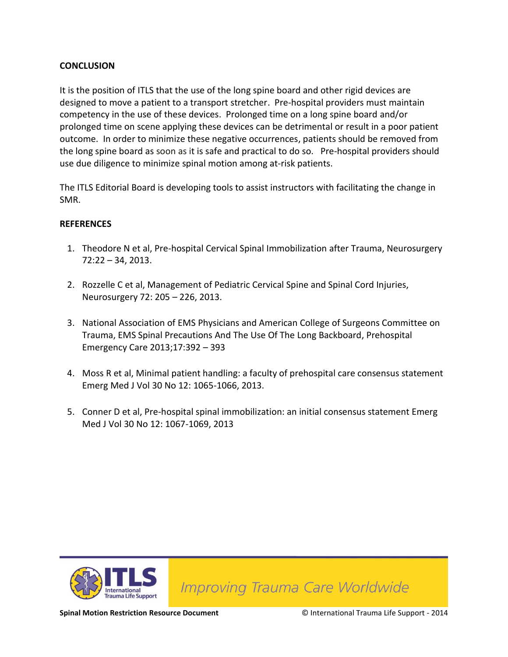#### **CONCLUSION**

It is the position of ITLS that the use of the long spine board and other rigid devices are designed to move a patient to a transport stretcher. Pre-hospital providers must maintain competency in the use of these devices. Prolonged time on a long spine board and/or prolonged time on scene applying these devices can be detrimental or result in a poor patient outcome. In order to minimize these negative occurrences, patients should be removed from the long spine board as soon as it is safe and practical to do so. Pre-hospital providers should use due diligence to minimize spinal motion among at-risk patients.

The ITLS Editorial Board is developing tools to assist instructors with facilitating the change in SMR.

#### **REFERENCES**

- 1. Theodore N et al, Pre-hospital Cervical Spinal Immobilization after Trauma, Neurosurgery 72:22 – 34, 2013.
- 2. Rozzelle C et al, Management of Pediatric Cervical Spine and Spinal Cord Injuries, Neurosurgery 72: 205 – 226, 2013.
- 3. National Association of EMS Physicians and American College of Surgeons Committee on Trauma, EMS Spinal Precautions And The Use Of The Long Backboard, Prehospital Emergency Care 2013;17:392 – 393
- 4. Moss R et al, Minimal patient handling: a faculty of prehospital care consensus statement Emerg Med J Vol 30 No 12: 1065-1066, 2013.
- 5. Conner D et al, Pre-hospital spinal immobilization: an initial consensus statement Emerg Med J Vol 30 No 12: 1067-1069, 2013



Improving Trauma Care Worldwide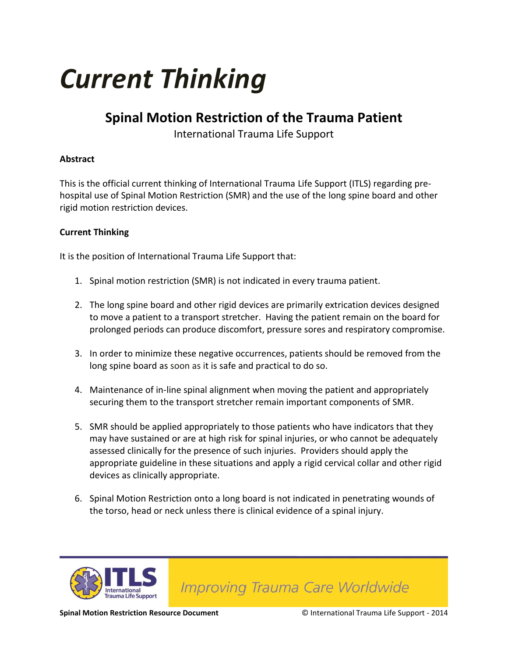# *Current Thinking*

## **Spinal Motion Restriction of the Trauma Patient**

International Trauma Life Support

#### **Abstract**

This is the official current thinking of International Trauma Life Support (ITLS) regarding prehospital use of Spinal Motion Restriction (SMR) and the use of the long spine board and other rigid motion restriction devices.

#### **Current Thinking**

It is the position of International Trauma Life Support that:

- 1. Spinal motion restriction (SMR) is not indicated in every trauma patient.
- 2. The long spine board and other rigid devices are primarily extrication devices designed to move a patient to a transport stretcher. Having the patient remain on the board for prolonged periods can produce discomfort, pressure sores and respiratory compromise.
- 3. In order to minimize these negative occurrences, patients should be removed from the long spine board as soon as it is safe and practical to do so.
- 4. Maintenance of in-line spinal alignment when moving the patient and appropriately securing them to the transport stretcher remain important components of SMR.
- 5. SMR should be applied appropriately to those patients who have indicators that they may have sustained or are at high risk for spinal injuries, or who cannot be adequately assessed clinically for the presence of such injuries. Providers should apply the appropriate guideline in these situations and apply a rigid cervical collar and other rigid devices as clinically appropriate.
- 6. Spinal Motion Restriction onto a long board is not indicated in penetrating wounds of the torso, head or neck unless there is clinical evidence of a spinal injury.



Improving Trauma Care Worldwide